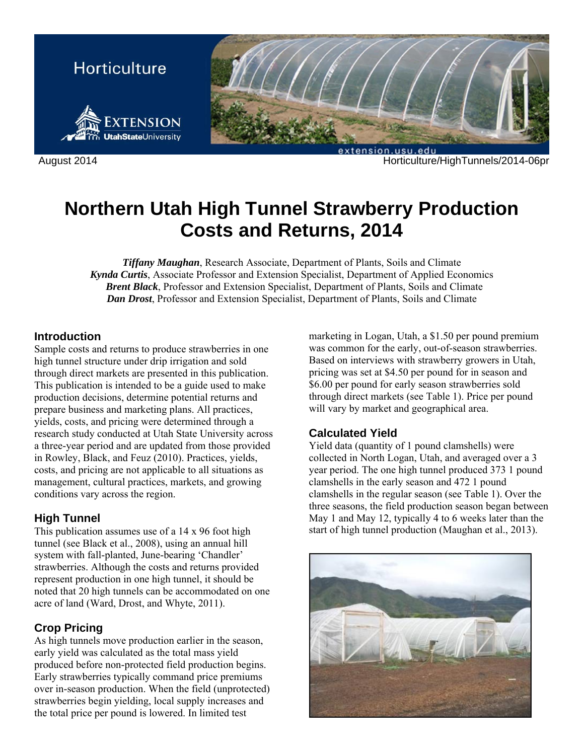

August 2014 Horticulture/HighTunnels/2014-06pr

# **Northern Utah High Tunnel Strawberry Production Costs and Returns, 2014**

*Tiffany Maughan*, Research Associate, Department of Plants, Soils and Climate *Kynda Curtis*, Associate Professor and Extension Specialist, Department of Applied Economics *Brent Black*, Professor and Extension Specialist, Department of Plants, Soils and Climate *Dan Drost*, Professor and Extension Specialist, Department of Plants, Soils and Climate

#### **Introduction**

Sample costs and returns to produce strawberries in one high tunnel structure under drip irrigation and sold through direct markets are presented in this publication. This publication is intended to be a guide used to make production decisions, determine potential returns and prepare business and marketing plans. All practices, yields, costs, and pricing were determined through a research study conducted at Utah State University across a three-year period and are updated from those provided in Rowley, Black, and Feuz (2010). Practices, yields, costs, and pricing are not applicable to all situations as management, cultural practices, markets, and growing conditions vary across the region.

## **High Tunnel**

This publication assumes use of a 14 x 96 foot high tunnel (see Black et al., 2008), using an annual hill system with fall-planted, June-bearing 'Chandler' strawberries. Although the costs and returns provided represent production in one high tunnel, it should be noted that 20 high tunnels can be accommodated on one acre of land (Ward, Drost, and Whyte, 2011).

## **Crop Pricing**

As high tunnels move production earlier in the season, early yield was calculated as the total mass yield produced before non-protected field production begins. Early strawberries typically command price premiums over in-season production. When the field (unprotected) strawberries begin yielding, local supply increases and the total price per pound is lowered. In limited test

marketing in Logan, Utah, a \$1.50 per pound premium was common for the early, out-of-season strawberries. Based on interviews with strawberry growers in Utah, pricing was set at \$4.50 per pound for in season and \$6.00 per pound for early season strawberries sold through direct markets (see Table 1). Price per pound will vary by market and geographical area.

## **Calculated Yield**

Yield data (quantity of 1 pound clamshells) were collected in North Logan, Utah, and averaged over a 3 year period. The one high tunnel produced 373 1 pound clamshells in the early season and 472 1 pound clamshells in the regular season (see Table 1). Over the three seasons, the field production season began between May 1 and May 12, typically 4 to 6 weeks later than the start of high tunnel production (Maughan et al., 2013).

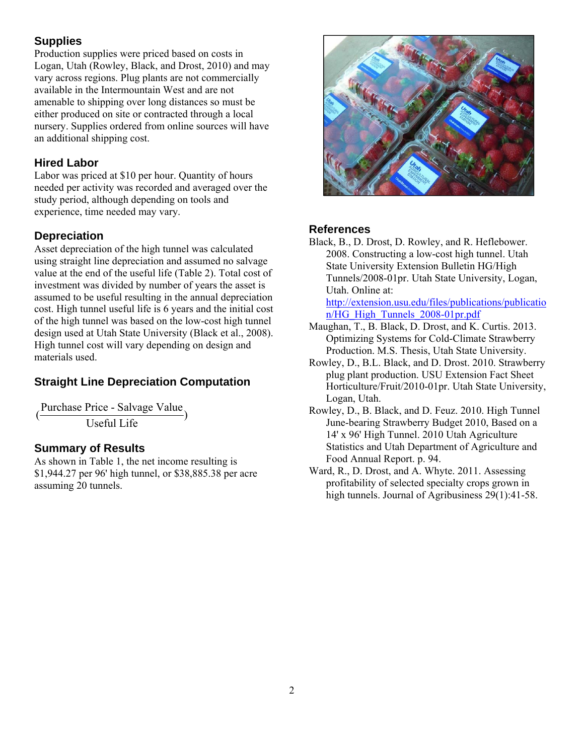## **Supplies**

Production supplies were priced based on costs in Logan, Utah (Rowley, Black, and Drost, 2010) and may vary across regions. Plug plants are not commercially available in the Intermountain West and are not amenable to shipping over long distances so must be either produced on site or contracted through a local nursery. Supplies ordered from online sources will have an additional shipping cost.

## **Hired Labor**

Labor was priced at \$10 per hour. Quantity of hours needed per activity was recorded and averaged over the study period, although depending on tools and experience, time needed may vary.

## **Depreciation**

Asset depreciation of the high tunnel was calculated using straight line depreciation and assumed no salvage value at the end of the useful life (Table 2). Total cost of investment was divided by number of years the asset is assumed to be useful resulting in the annual depreciation cost. High tunnel useful life is 6 years and the initial cost of the high tunnel was based on the low-cost high tunnel design used at Utah State University (Black et al., 2008). High tunnel cost will vary depending on design and materials used.

## **Straight Line Depreciation Computation**

Purchase Price - Salvage Value<br>Useful Life

## **Summary of Results**

As shown in Table 1, the net income resulting is \$1,944.27 per 96' high tunnel, or \$38,885.38 per acre assuming 20 tunnels.



#### **References**

Black, B., D. Drost, D. Rowley, and R. Heflebower. 2008. Constructing a low-cost high tunnel. Utah State University Extension Bulletin HG/High Tunnels/2008-01pr. Utah State University, Logan, Utah. Online at:

http://extension.usu.edu/files/publications/publicatio n/HG\_High\_Tunnels\_2008-01pr.pdf

- Maughan, T., B. Black, D. Drost, and K. Curtis. 2013. Optimizing Systems for Cold-Climate Strawberry Production. M.S. Thesis, Utah State University.
- Rowley, D., B.L. Black, and D. Drost. 2010. Strawberry plug plant production. USU Extension Fact Sheet Horticulture/Fruit/2010-01pr. Utah State University, Logan, Utah.
- Rowley, D., B. Black, and D. Feuz. 2010. High Tunnel June-bearing Strawberry Budget 2010, Based on a 14' x 96' High Tunnel. 2010 Utah Agriculture Statistics and Utah Department of Agriculture and Food Annual Report. p. 94.
- Ward, R., D. Drost, and A. Whyte. 2011. Assessing profitability of selected specialty crops grown in high tunnels. Journal of Agribusiness 29(1):41-58.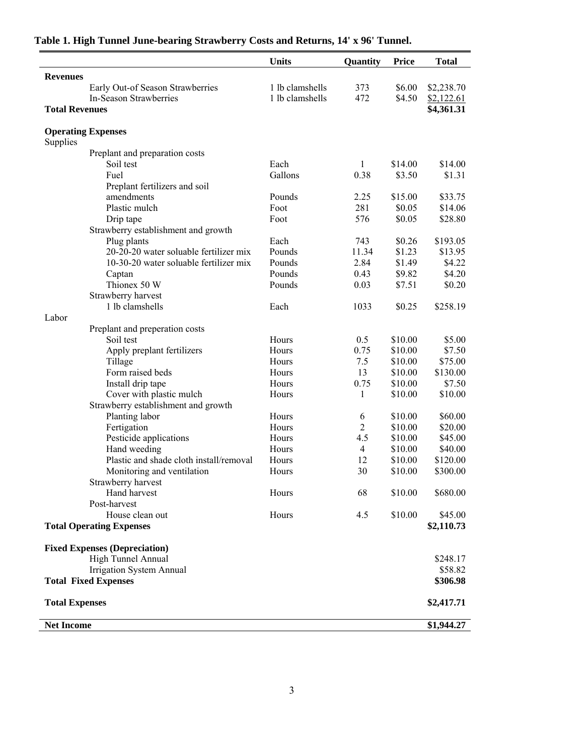|                           |                                         | <b>Units</b>    | Quantity       | <b>Price</b> | <b>Total</b> |
|---------------------------|-----------------------------------------|-----------------|----------------|--------------|--------------|
| <b>Revenues</b>           |                                         |                 |                |              |              |
|                           | Early Out-of Season Strawberries        | 1 lb clamshells | 373            | \$6.00       | \$2,238.70   |
|                           | In-Season Strawberries                  | 1 lb clamshells | 472            | \$4.50       | \$2,122.61   |
| <b>Total Revenues</b>     |                                         |                 |                |              | \$4,361.31   |
| <b>Operating Expenses</b> |                                         |                 |                |              |              |
| Supplies                  |                                         |                 |                |              |              |
|                           | Preplant and preparation costs          |                 |                |              |              |
|                           | Soil test                               | Each            | 1              | \$14.00      | \$14.00      |
|                           | Fuel                                    | Gallons         | 0.38           | \$3.50       | \$1.31       |
|                           | Preplant fertilizers and soil           |                 |                |              |              |
|                           | amendments                              | Pounds          | 2.25           | \$15.00      | \$33.75      |
|                           | Plastic mulch                           | Foot            | 281            | \$0.05       | \$14.06      |
|                           | Drip tape                               | Foot            | 576            | \$0.05       | \$28.80      |
|                           | Strawberry establishment and growth     |                 |                |              |              |
|                           | Plug plants                             | Each            | 743            | \$0.26       | \$193.05     |
|                           | 20-20-20 water soluable fertilizer mix  | Pounds          | 11.34          | \$1.23       | \$13.95      |
|                           | 10-30-20 water soluable fertilizer mix  | Pounds          | 2.84           | \$1.49       | \$4.22       |
|                           | Captan                                  | Pounds          | 0.43           | \$9.82       | \$4.20       |
|                           | Thionex 50 W                            | Pounds          | 0.03           | \$7.51       | \$0.20       |
|                           | Strawberry harvest                      |                 |                |              |              |
|                           | 1 lb clamshells                         | Each            | 1033           | \$0.25       | \$258.19     |
| Labor                     |                                         |                 |                |              |              |
|                           | Preplant and preperation costs          |                 |                |              |              |
|                           | Soil test                               | Hours           | 0.5            | \$10.00      | \$5.00       |
|                           | Apply preplant fertilizers              | Hours           | 0.75           | \$10.00      | \$7.50       |
|                           | Tillage                                 | Hours           | 7.5            | \$10.00      | \$75.00      |
|                           | Form raised beds                        | Hours           | 13             | \$10.00      | \$130.00     |
|                           | Install drip tape                       | Hours           | 0.75           | \$10.00      | \$7.50       |
|                           | Cover with plastic mulch                | Hours           | 1              | \$10.00      | \$10.00      |
|                           | Strawberry establishment and growth     |                 |                |              |              |
|                           | Planting labor                          | Hours           | 6              | \$10.00      | \$60.00      |
|                           | Fertigation                             | Hours           | $\overline{2}$ | \$10.00      | \$20.00      |
|                           | Pesticide applications                  | Hours           | 4.5            | \$10.00      | \$45.00      |
|                           | Hand weeding                            | Hours           | 4              | \$10.00      | \$40.00      |
|                           | Plastic and shade cloth install/removal | Hours           | 12             | \$10.00      | \$120.00     |
|                           | Monitoring and ventilation              | Hours           | 30             | \$10.00      | \$300.00     |
|                           | Strawberry harvest                      |                 |                |              |              |
|                           | Hand harvest                            | Hours           | 68             | \$10.00      | \$680.00     |
|                           | Post-harvest                            |                 |                |              |              |
|                           | House clean out                         | Hours           | 4.5            | \$10.00      | \$45.00      |
|                           | <b>Total Operating Expenses</b>         |                 |                |              | \$2,110.73   |
|                           | <b>Fixed Expenses (Depreciation)</b>    |                 |                |              |              |
|                           | High Tunnel Annual                      |                 |                |              | \$248.17     |
|                           | <b>Irrigation System Annual</b>         |                 |                |              | \$58.82      |
|                           | <b>Total Fixed Expenses</b>             |                 |                |              | \$306.98     |
|                           |                                         |                 |                |              |              |
| <b>Total Expenses</b>     |                                         |                 |                |              | \$2,417.71   |
|                           |                                         |                 |                |              |              |
| <b>Net Income</b>         |                                         |                 |                |              | \$1,944.27   |

## **Table 1. High Tunnel June-bearing Strawberry Costs and Returns, 14' x 96' Tunnel.**